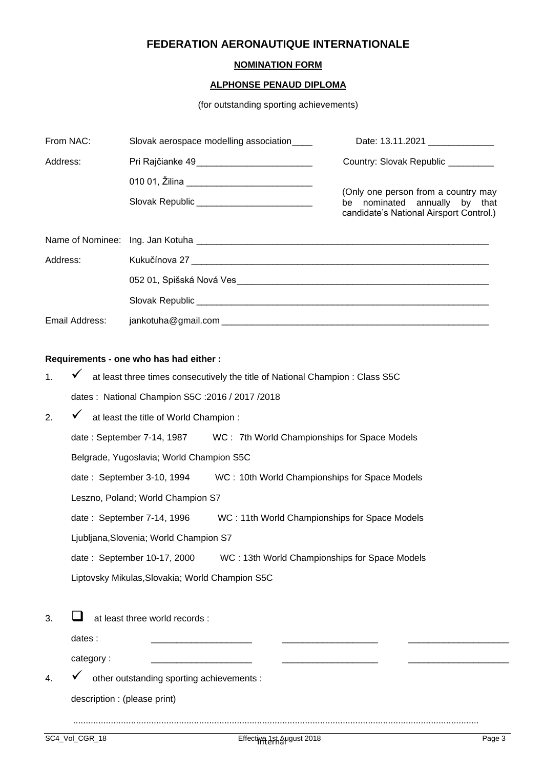# **FEDERATION AERONAUTIQUE INTERNATIONALE**

# **NOMINATION FORM**

#### **ALPHONSE PENAUD DIPLOMA**

(for outstanding sporting achievements)

| From NAC:      | Slovak aerospace modelling association                                                                                                   | Date: 13.11.2021 ______________                                                                                 |  |
|----------------|------------------------------------------------------------------------------------------------------------------------------------------|-----------------------------------------------------------------------------------------------------------------|--|
| Address:       | Pri Rajčianke 49__________________________                                                                                               | Country: Slovak Republic _________                                                                              |  |
|                | 010 01, Žilina ______________________________<br>Slovak Republic ____________________________                                            | (Only one person from a country may<br>be nominated annually by that<br>candidate's National Airsport Control.) |  |
|                |                                                                                                                                          |                                                                                                                 |  |
| Address:       |                                                                                                                                          |                                                                                                                 |  |
|                |                                                                                                                                          |                                                                                                                 |  |
|                |                                                                                                                                          |                                                                                                                 |  |
| Email Address: |                                                                                                                                          |                                                                                                                 |  |
|                | Requirements - one who has had either :<br>1 $\checkmark$ at least three times consequitively the title of National Champion : Class SEC |                                                                                                                 |  |

| т. | at least three times consecutively the title of National Unampion . Ulass SSU |  |  |  |  |
|----|-------------------------------------------------------------------------------|--|--|--|--|
|    | dates: National Champion S5C: 2016 / 2017 / 2018                              |  |  |  |  |
| 2. | at least the title of World Champion:                                         |  |  |  |  |
|    | WC: 7th World Championships for Space Models<br>date: September 7-14, 1987    |  |  |  |  |
|    | Belgrade, Yugoslavia; World Champion S5C                                      |  |  |  |  |
|    | date: September 3-10, 1994<br>WC: 10th World Championships for Space Models   |  |  |  |  |
|    | Leszno, Poland; World Champion S7                                             |  |  |  |  |
|    | date: September 7-14, 1996<br>WC: 11th World Championships for Space Models   |  |  |  |  |
|    | Ljubljana, Slovenia; World Champion S7                                        |  |  |  |  |
|    | date: September 10-17, 2000<br>WC: 13th World Championships for Space Models  |  |  |  |  |
|    | Liptovsky Mikulas, Slovakia; World Champion S5C                               |  |  |  |  |
|    |                                                                               |  |  |  |  |
| 3. | at least three world records :                                                |  |  |  |  |

| dates :   |  |  |
|-----------|--|--|
| category: |  |  |

4.  $\checkmark$  other outstanding sporting achievements :

description : (please print)

.................................................................................................................................................................